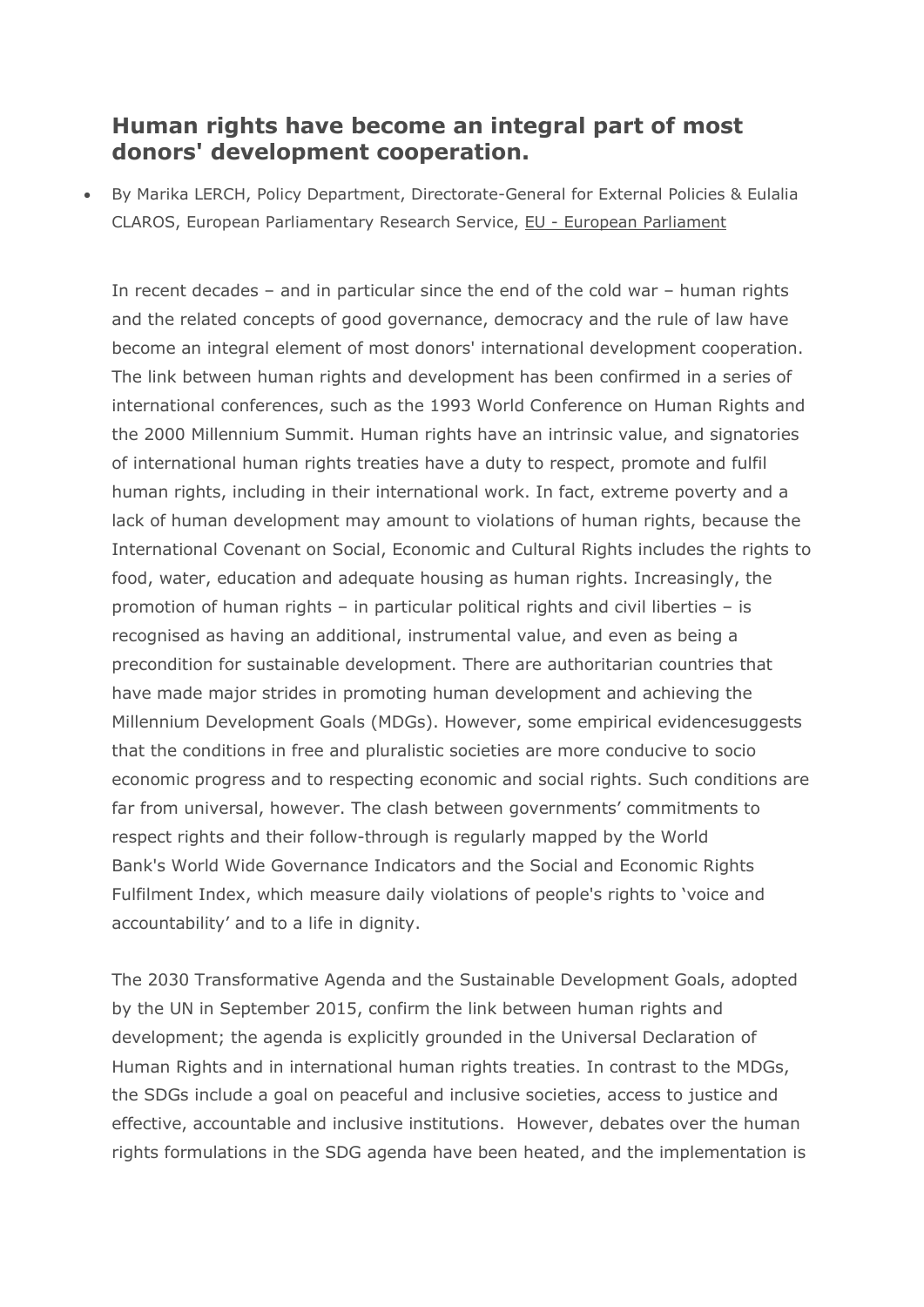## **Human rights have become an integral part of most donors' development cooperation.**

 By Marika LERCH, Policy Department, Directorate-General for External Policies & Eulalia CLAROS, European Parliamentary Research Service, EU - European [Parliament](https://europa.eu/eyd2015/en/eu-european-parliament)

In recent decades – and in particular since the end of the cold war – human rights and the related concepts of good governance, democracy and the rule of law have become an integral element of most donors' international [development](http://siteresources.worldbank.org/PROJECTS/Resources/40940-1331068268558/IntegratingHumanRights_into_Development-2ndEdition-2013.pdf) cooperation. The link between human rights and development has been confirmed in a series of international conferences, such as the 1993 World Conference on Human Rights and the 2000 Millennium Summit. Human rights have an intrinsic value, and signatories of international human rights treaties have a duty to respect, promote and fulfil human rights, including in their international work. In fact, extreme poverty and a lack of human development may amount to violations of human rights, because the International Covenant on Social, Economic and Cultural Rights includes the rights to food, water, education and adequate housing as human rights. Increasingly, the promotion of human rights – in particular political rights and civil liberties – is recognised as having an additional, instrumental value, and even as being a precondition for sustainable development. There are authoritarian countries that have made major strides in promoting human development and achieving the Millennium Development Goals (MDGs). However, some empirical [evidences](http://siteresources.worldbank.org/EXTSITETOOLS/Resources/KaufmannDevtOutreach.pdf)uggests that the conditions in free and pluralistic societies are more conducive to socio economic progress and to respecting economic and social rights. Such conditions are far from universal, however. The clash between governments' commitments to respect rights and their follow-through is regularly mapped by the World Bank's World Wide [Governance](http://info.worldbank.org/governance/wgi/index.aspx#home) Indicators and the Social and [Economic](http://www.serfindex.org/2013-international-serf-index-downloads/) Rights [Fulfilment](http://www.serfindex.org/2013-international-serf-index-downloads/) Index, which measure daily violations of people's rights to 'voice and accountability' and to a life in dignity.

The 2030 [Transformative](https://sustainabledevelopment.un.org/post2015/transformingourworld) Agenda and the Sustainable Development Goals, adopted by the UN in September 2015, confirm the link between human rights and development; the agenda is explicitly grounded in the Universal Declaration of Human Rights and in international human rights treaties. In contrast to the MDGs, the SDGs include a goal on peaceful and inclusive societies, access to justice and effective, accountable and inclusive institutions. However, debates over the human rights formulations in the SDG agenda have been heated, and the implementation is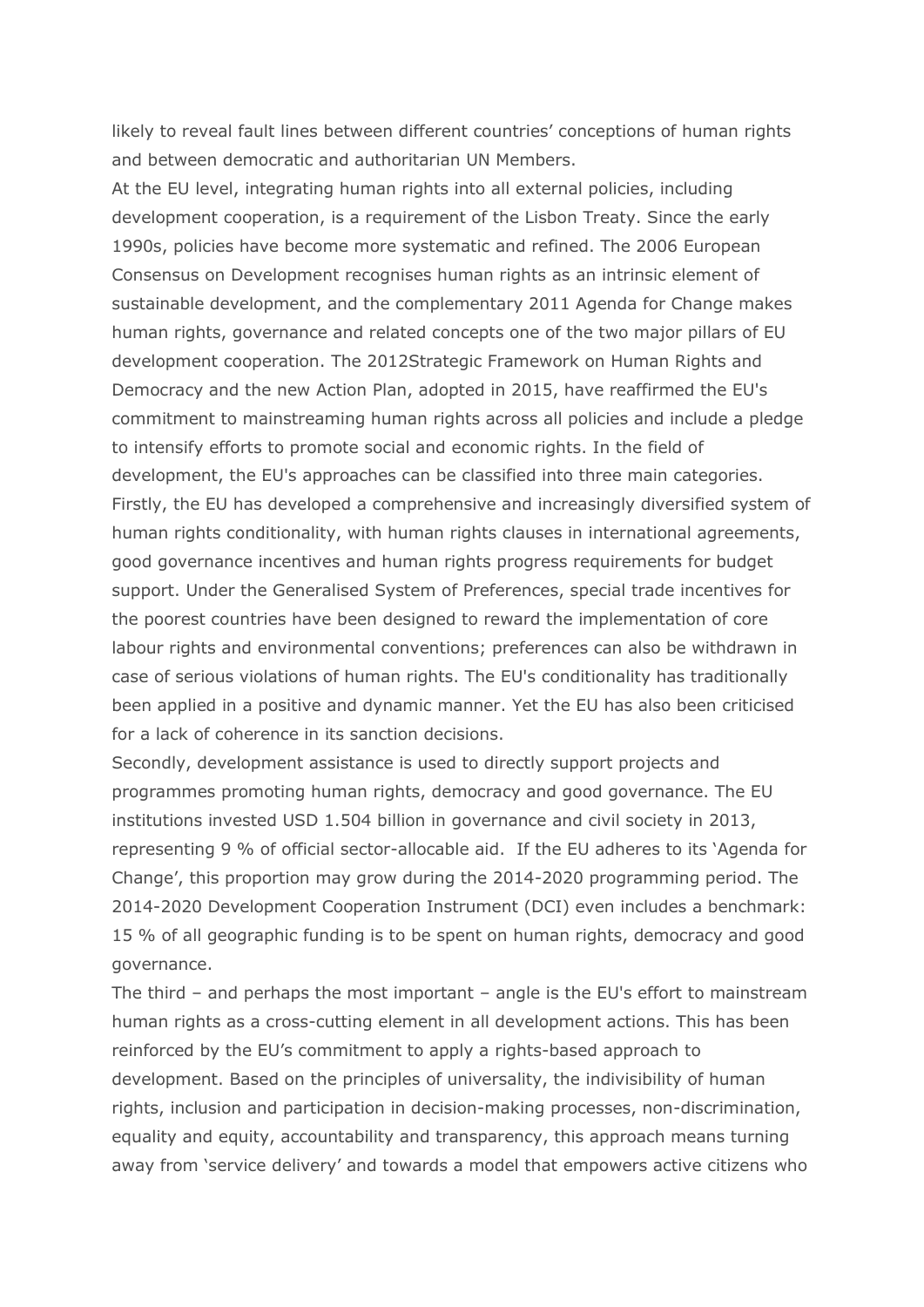likely to reveal fault lines between different countries' conceptions of human rights and between democratic and authoritarian UN Members.

At the EU level, integrating human rights into all external policies, including development cooperation, is a requirement of the Lisbon Treaty. Since the early 1990s, policies have become more systematic and refined. The 2006 [European](http://eur-lex.europa.eu/LexUriServ/LexUriServ.do?uri=OJ%3AC%3A2006%3A046%3A0001%3A0019%3AEN%3APDF) Consensus on [Development](http://eur-lex.europa.eu/LexUriServ/LexUriServ.do?uri=OJ%3AC%3A2006%3A046%3A0001%3A0019%3AEN%3APDF) recognises human rights as an intrinsic element of sustainable development, and the complementary 2011 Agenda for [Change](http://eur-lex.europa.eu/legal-content/EN/TXT/PDF/?uri=CELEX%3A52011DC0637&qid=1412922281378&from=EN) makes human rights, governance and related concepts one of the two major pillars of EU development cooperation. The 2012Strategic [Framework](http://www.consilium.europa.eu/uedocs/cms_data/docs/pressdata/EN/foraff/131181.pdf) on Human Rights and [Democracy](http://www.consilium.europa.eu/uedocs/cms_data/docs/pressdata/EN/foraff/131181.pdf) and the new Action Plan, [adopted](http://data.consilium.europa.eu/doc/document/ST-10897-2015-INIT/en/pdf) in 2015, have reaffirmed the EU's commitment to mainstreaming human rights across all policies and include a pledge to intensify efforts to promote social and economic rights. In the field of development, the EU's [approaches](http://www.fp7-frame.eu/wp-content/materiale/reports/07-Deliverable-9.1.pdf) can be classified into three main categories. Firstly, the EU has developed a comprehensive and increasingly diversified system of human rights conditionality, with human rights clauses in international agreements, good governance incentives and human rights progress requirements for budget support. Under the Generalised System of Preferences, special trade incentives for the poorest countries have been designed to reward the implementation of core labour rights and environmental conventions; preferences can also be withdrawn in case of serious violations of human rights. The EU's conditionality has traditionally been applied in a positive and dynamic manner. Yet the EU has also been criticised for a lack of coherence in its sanction decisions.

Secondly, development assistance is used to directly support projects and programmes promoting human rights, democracy and good governance. The EU institutions invested USD 1.504 billion in governance and civil society in 2013, representing 9 % of official sector-allocable aid. If the EU adheres to its 'Agenda for Change', this proportion may grow during the 2014-2020 programming period. The 2014-2020 [Development](http://eur-lex.europa.eu/legal-content/EN/TXT/HTML/?uri=CELEX:32014R0233&from=EN) Cooperation Instrument (DCI) even includes a benchmark: 15 % of all geographic funding is to be spent on human rights, democracy and good governance.

The third – and perhaps the most important – angle is the EU's effort to mainstream human rights as a cross-cutting element in all development actions. This has been reinforced by the EU's commitment to apply a [rights-based](http://www.consilium.europa.eu/uedocs/cms_data/docs/pressdata/en/foraff/142682.pdf) approach to [development.](http://www.consilium.europa.eu/uedocs/cms_data/docs/pressdata/en/foraff/142682.pdf) Based on the principles of universality, the indivisibility of human rights, inclusion and participation in decision-making processes, non-discrimination, equality and equity, accountability and transparency, this approach means turning away from 'service delivery' and towards a model that empowers active citizens who